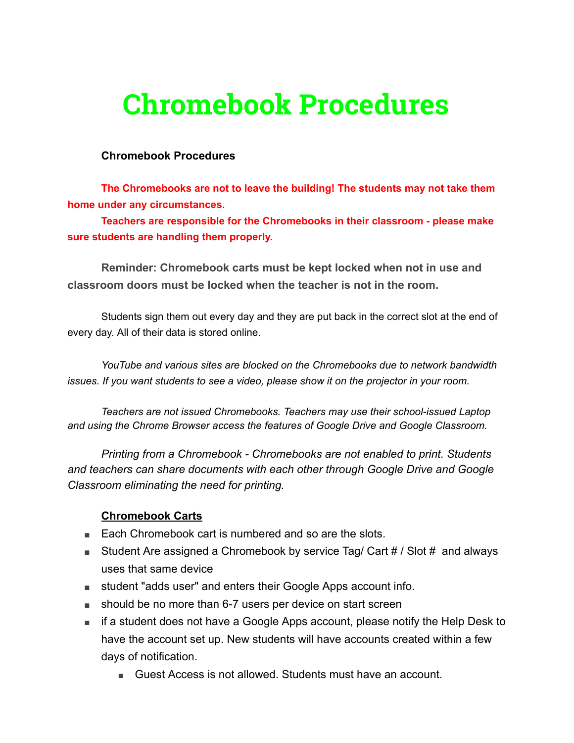# **Chromebook Procedures**

#### **Chromebook Procedures**

**The Chromebooks are not to leave the building! The students may not take them home under any circumstances.**

**Teachers are responsible for the Chromebooks in their classroom - please make sure students are handling them properly.**

**Reminder: Chromebook carts must be kept locked when not in use and classroom doors must be locked when the teacher is not in the room.**

Students sign them out every day and they are put back in the correct slot at the end of every day. All of their data is stored online.

*YouTube and various sites are blocked on the Chromebooks due to network bandwidth issues. If you want students to see a video, please show it on the projector in your room.*

*Teachers are not issued Chromebooks. Teachers may use their school-issued Laptop and using the Chrome Browser access the features of Google Drive and Google Classroom.*

*Printing from a Chromebook - Chromebooks are not enabled to print. Students and teachers can share documents with each other through Google Drive and Google Classroom eliminating the need for printing.*

#### **Chromebook Carts**

- Each Chromebook cart is numbered and so are the slots.
- Student Are assigned a Chromebook by service Tag/ Cart # / Slot # and always uses that same device
- student "adds user" and enters their Google Apps account info.
- should be no more than 6-7 users per device on start screen
- if a student does not have a Google Apps account, please notify the Help Desk to have the account set up. New students will have accounts created within a few days of notification.
	- Guest Access is not allowed. Students must have an account.